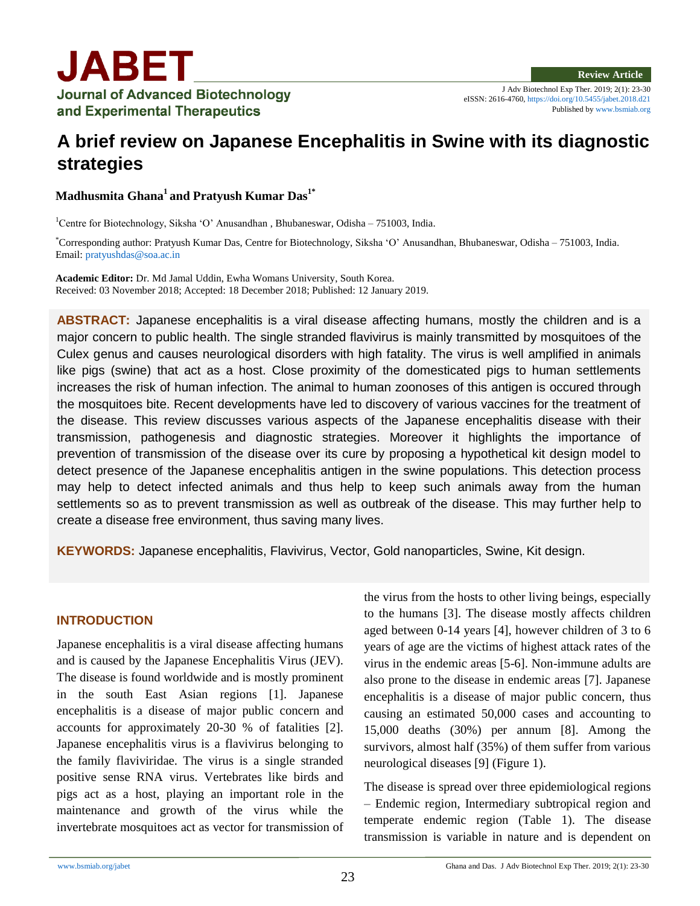J Adv Biotechnol Exp Ther. 2019; 2(1): 23-30 eISSN: 2616-4760[, https://doi.org/10.5455/jabet.2018.d21](https://doi.org/10.5455/jabet.2018.d21) Published b[y www.bsmiab.org](http://www.bsmiab.org/)

# **A brief review on Japanese Encephalitis in Swine with its diagnostic strategies**

**Madhusmita Ghana<sup>1</sup> and Pratyush Kumar Das1\***

<sup>1</sup>Centre for Biotechnology, Siksha 'O' Anusandhan , Bhubaneswar, Odisha – 751003, India.

\*Corresponding author: Pratyush Kumar Das, Centre for Biotechnology, Siksha 'O' Anusandhan, Bhubaneswar, Odisha – 751003, India. Email: [pratyushdas@soa.ac.in](mailto:pratyushdas@soa.ac.in)

**Academic Editor:** Dr. Md Jamal Uddin, Ewha Womans University, South Korea. Received: 03 November 2018; Accepted: 18 December 2018; Published: 12 January 2019.

**ABSTRACT:** Japanese encephalitis is a viral disease affecting humans, mostly the children and is a major concern to public health. The single stranded flavivirus is mainly transmitted by mosquitoes of the Culex genus and causes neurological disorders with high fatality. The virus is well amplified in animals like pigs (swine) that act as a host. Close proximity of the domesticated pigs to human settlements increases the risk of human infection. The animal to human zoonoses of this antigen is occured through the mosquitoes bite. Recent developments have led to discovery of various vaccines for the treatment of the disease. This review discusses various aspects of the Japanese encephalitis disease with their transmission, pathogenesis and diagnostic strategies. Moreover it highlights the importance of prevention of transmission of the disease over its cure by proposing a hypothetical kit design model to detect presence of the Japanese encephalitis antigen in the swine populations. This detection process may help to detect infected animals and thus help to keep such animals away from the human settlements so as to prevent transmission as well as outbreak of the disease. This may further help to create a disease free environment, thus saving many lives.

**KEYWORDS:** Japanese encephalitis, Flavivirus, Vector, Gold nanoparticles, Swine, Kit design.

#### **INTRODUCTION**

Japanese encephalitis is a viral disease affecting humans and is caused by the Japanese Encephalitis Virus (JEV). The disease is found worldwide and is mostly prominent in the south East Asian regions [1]. Japanese encephalitis is a disease of major public concern and accounts for approximately 20-30 % of fatalities [2]. Japanese encephalitis virus is a flavivirus belonging to the family flaviviridae. The virus is a single stranded positive sense RNA virus. Vertebrates like birds and pigs act as a host, playing an important role in the maintenance and growth of the virus while the invertebrate mosquitoes act as vector for transmission of the virus from the hosts to other living beings, especially to the humans [3]. The disease mostly affects children aged between 0-14 years [4], however children of 3 to 6 years of age are the victims of highest attack rates of the virus in the endemic areas [5-6]. Non-immune adults are also prone to the disease in endemic areas [7]. Japanese encephalitis is a disease of major public concern, thus causing an estimated 50,000 cases and accounting to 15,000 deaths (30%) per annum [8]. Among the survivors, almost half (35%) of them suffer from various neurological diseases [9] (Figure 1).

The disease is spread over three epidemiological regions – Endemic region, Intermediary subtropical region and temperate endemic region (Table 1). The disease transmission is variable in nature and is dependent on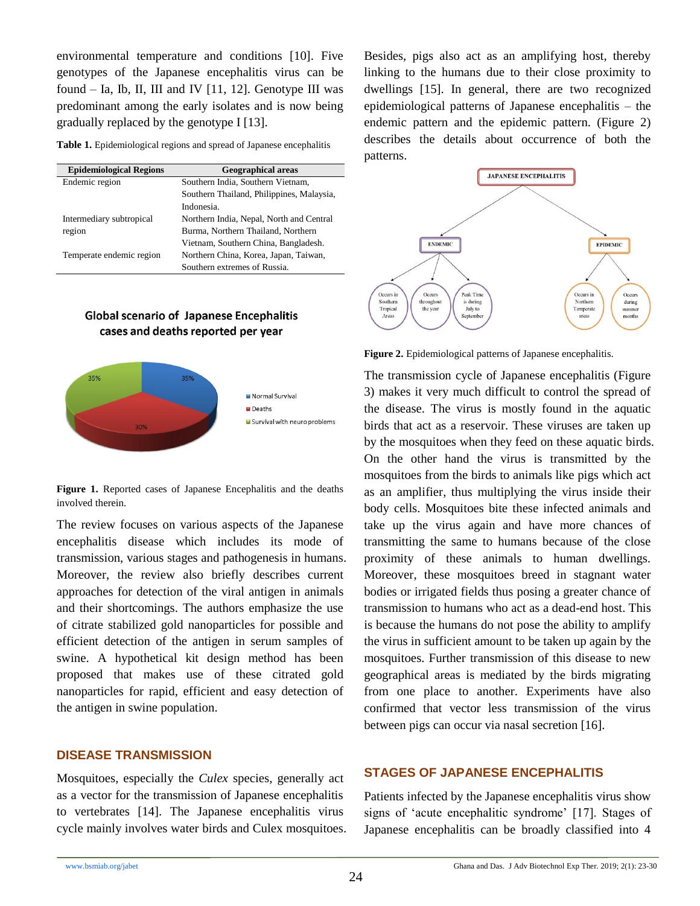environmental temperature and conditions [10]. Five genotypes of the Japanese encephalitis virus can be found  $-$  Ia, Ib, II, III and IV  $[11, 12]$ . Genotype III was predominant among the early isolates and is now being gradually replaced by the genotype I [13].

**Table 1.** Epidemiological regions and spread of Japanese encephalitis

| <b>Epidemiological Regions</b> | <b>Geographical areas</b>                 |
|--------------------------------|-------------------------------------------|
| Endemic region                 | Southern India, Southern Vietnam,         |
|                                | Southern Thailand, Philippines, Malaysia, |
|                                | Indonesia.                                |
| Intermediary subtropical       | Northern India, Nepal, North and Central  |
| region                         | Burma, Northern Thailand, Northern        |
|                                | Vietnam, Southern China, Bangladesh.      |
| Temperate endemic region       | Northern China, Korea, Japan, Taiwan,     |
|                                | Southern extremes of Russia.              |

## **Global scenario of Japanese Encephalitis** cases and deaths reported per year



**Figure 1.** Reported cases of Japanese Encephalitis and the deaths involved therein.

The review focuses on various aspects of the Japanese encephalitis disease which includes its mode of transmission, various stages and pathogenesis in humans. Moreover, the review also briefly describes current approaches for detection of the viral antigen in animals and their shortcomings. The authors emphasize the use of citrate stabilized gold nanoparticles for possible and efficient detection of the antigen in serum samples of swine. A hypothetical kit design method has been proposed that makes use of these citrated gold nanoparticles for rapid, efficient and easy detection of the antigen in swine population.

#### **DISEASE TRANSMISSION**

Mosquitoes, especially the *Culex* species, generally act as a vector for the transmission of Japanese encephalitis to vertebrates [14]. The Japanese encephalitis virus cycle mainly involves water birds and Culex mosquitoes. Besides, pigs also act as an amplifying host, thereby linking to the humans due to their close proximity to dwellings [15]. In general, there are two recognized epidemiological patterns of Japanese encephalitis – the endemic pattern and the epidemic pattern. (Figure 2) describes the details about occurrence of both the patterns.



**Figure 2.** Epidemiological patterns of Japanese encephalitis.

The transmission cycle of Japanese encephalitis (Figure 3) makes it very much difficult to control the spread of the disease. The virus is mostly found in the aquatic birds that act as a reservoir. These viruses are taken up by the mosquitoes when they feed on these aquatic birds. On the other hand the virus is transmitted by the mosquitoes from the birds to animals like pigs which act as an amplifier, thus multiplying the virus inside their body cells. Mosquitoes bite these infected animals and take up the virus again and have more chances of transmitting the same to humans because of the close proximity of these animals to human dwellings. Moreover, these mosquitoes breed in stagnant water bodies or irrigated fields thus posing a greater chance of transmission to humans who act as a dead-end host. This is because the humans do not pose the ability to amplify the virus in sufficient amount to be taken up again by the mosquitoes. Further transmission of this disease to new geographical areas is mediated by the birds migrating from one place to another. Experiments have also confirmed that vector less transmission of the virus between pigs can occur via nasal secretion [16].

### **STAGES OF JAPANESE ENCEPHALITIS**

Patients infected by the Japanese encephalitis virus show signs of 'acute encephalitic syndrome' [17]. Stages of Japanese encephalitis can be broadly classified into 4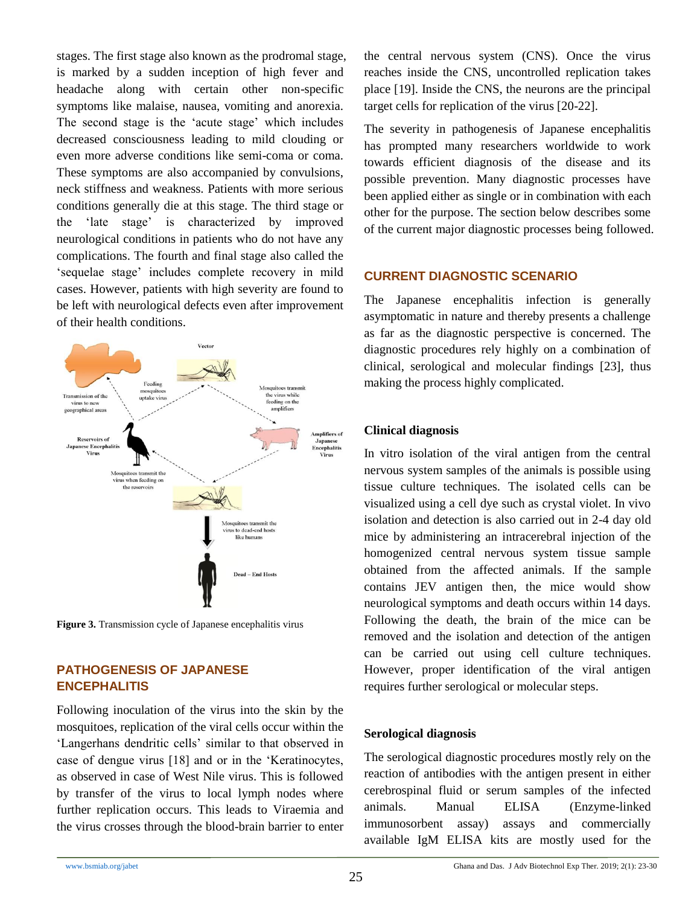stages. The first stage also known as the prodromal stage, is marked by a sudden inception of high fever and headache along with certain other non-specific symptoms like malaise, nausea, vomiting and anorexia. The second stage is the 'acute stage' which includes decreased consciousness leading to mild clouding or even more adverse conditions like semi-coma or coma. These symptoms are also accompanied by convulsions, neck stiffness and weakness. Patients with more serious conditions generally die at this stage. The third stage or the 'late stage' is characterized by improved neurological conditions in patients who do not have any complications. The fourth and final stage also called the 'sequelae stage' includes complete recovery in mild cases. However, patients with high severity are found to be left with neurological defects even after improvement of their health conditions.



**Figure 3.** Transmission cycle of Japanese encephalitis virus

## **PATHOGENESIS OF JAPANESE ENCEPHALITIS**

Following inoculation of the virus into the skin by the mosquitoes, replication of the viral cells occur within the 'Langerhans dendritic cells' similar to that observed in case of dengue virus [18] and or in the 'Keratinocytes, as observed in case of West Nile virus. This is followed by transfer of the virus to local lymph nodes where further replication occurs. This leads to Viraemia and the virus crosses through the blood-brain barrier to enter the central nervous system (CNS). Once the virus reaches inside the CNS, uncontrolled replication takes place [19]. Inside the CNS, the neurons are the principal target cells for replication of the virus [20-22].

The severity in pathogenesis of Japanese encephalitis has prompted many researchers worldwide to work towards efficient diagnosis of the disease and its possible prevention. Many diagnostic processes have been applied either as single or in combination with each other for the purpose. The section below describes some of the current major diagnostic processes being followed.

## **CURRENT DIAGNOSTIC SCENARIO**

The Japanese encephalitis infection is generally asymptomatic in nature and thereby presents a challenge as far as the diagnostic perspective is concerned. The diagnostic procedures rely highly on a combination of clinical, serological and molecular findings [23], thus making the process highly complicated.

### **Clinical diagnosis**

In vitro isolation of the viral antigen from the central nervous system samples of the animals is possible using tissue culture techniques. The isolated cells can be visualized using a cell dye such as crystal violet. In vivo isolation and detection is also carried out in 2-4 day old mice by administering an intracerebral injection of the homogenized central nervous system tissue sample obtained from the affected animals. If the sample contains JEV antigen then, the mice would show neurological symptoms and death occurs within 14 days. Following the death, the brain of the mice can be removed and the isolation and detection of the antigen can be carried out using cell culture techniques. However, proper identification of the viral antigen requires further serological or molecular steps.

## **Serological diagnosis**

The serological diagnostic procedures mostly rely on the reaction of antibodies with the antigen present in either cerebrospinal fluid or serum samples of the infected animals. Manual ELISA (Enzyme-linked immunosorbent assay) assays and commercially available IgM ELISA kits are mostly used for the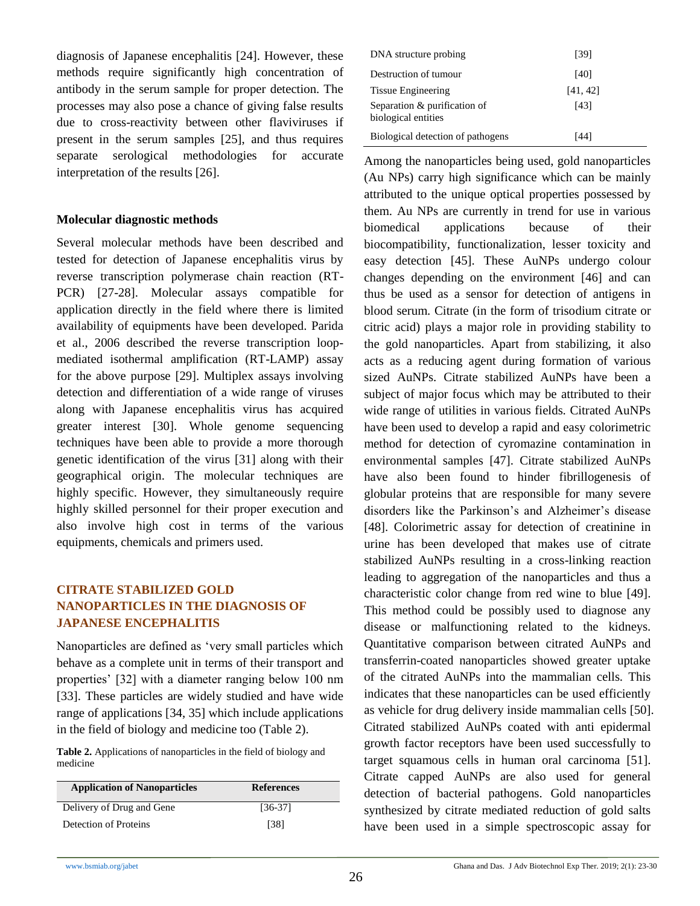diagnosis of Japanese encephalitis [24]. However, these methods require significantly high concentration of antibody in the serum sample for proper detection. The processes may also pose a chance of giving false results due to cross-reactivity between other flaviviruses if present in the serum samples [25], and thus requires separate serological methodologies for accurate interpretation of the results [26].

#### **Molecular diagnostic methods**

Several molecular methods have been described and tested for detection of Japanese encephalitis virus by reverse transcription polymerase chain reaction (RT-PCR) [27-28]. Molecular assays compatible for application directly in the field where there is limited availability of equipments have been developed. Parida et al., 2006 described the reverse transcription loopmediated isothermal amplification (RT-LAMP) assay for the above purpose [29]. Multiplex assays involving detection and differentiation of a wide range of viruses along with Japanese encephalitis virus has acquired greater interest [30]. Whole genome sequencing techniques have been able to provide a more thorough genetic identification of the virus [31] along with their geographical origin. The molecular techniques are highly specific. However, they simultaneously require highly skilled personnel for their proper execution and also involve high cost in terms of the various equipments, chemicals and primers used.

## **CITRATE STABILIZED GOLD NANOPARTICLES IN THE DIAGNOSIS OF JAPANESE ENCEPHALITIS**

Nanoparticles are defined as 'very small particles which behave as a complete unit in terms of their transport and properties' [32] with a diameter ranging below 100 nm [33]. These particles are widely studied and have wide range of applications [34, 35] which include applications in the field of biology and medicine too (Table 2).

**Table 2.** Applications of nanoparticles in the field of biology and medicine

| <b>Application of Nanoparticles</b> | <b>References</b> |
|-------------------------------------|-------------------|
| Delivery of Drug and Gene           | $[36-37]$         |
| Detection of Proteins               | [38]              |

| DNA structure probing                               | [39]     |  |
|-----------------------------------------------------|----------|--|
| Destruction of tumour                               | [40]     |  |
| <b>Tissue Engineering</b>                           | [41, 42] |  |
| Separation & purification of<br>biological entities | [43]     |  |
| Biological detection of pathogens                   | [44]     |  |

Among the nanoparticles being used, gold nanoparticles (Au NPs) carry high significance which can be mainly attributed to the unique optical properties possessed by them. Au NPs are currently in trend for use in various biomedical applications because of their biocompatibility, functionalization, lesser toxicity and easy detection [45]. These AuNPs undergo colour changes depending on the environment [46] and can thus be used as a sensor for detection of antigens in blood serum. Citrate (in the form of trisodium citrate or citric acid) plays a major role in providing stability to the gold nanoparticles. Apart from stabilizing, it also acts as a reducing agent during formation of various sized AuNPs. Citrate stabilized AuNPs have been a subject of major focus which may be attributed to their wide range of utilities in various fields. Citrated AuNPs have been used to develop a rapid and easy colorimetric method for detection of cyromazine contamination in environmental samples [47]. Citrate stabilized AuNPs have also been found to hinder fibrillogenesis of globular proteins that are responsible for many severe disorders like the Parkinson's and Alzheimer's disease [48]. Colorimetric assay for detection of creatinine in urine has been developed that makes use of citrate stabilized AuNPs resulting in a cross-linking reaction leading to aggregation of the nanoparticles and thus a characteristic color change from red wine to blue [49]. This method could be possibly used to diagnose any disease or malfunctioning related to the kidneys. Quantitative comparison between citrated AuNPs and transferrin-coated nanoparticles showed greater uptake of the citrated AuNPs into the mammalian cells. This indicates that these nanoparticles can be used efficiently as vehicle for drug delivery inside mammalian cells [50]. Citrated stabilized AuNPs coated with anti epidermal growth factor receptors have been used successfully to target squamous cells in human oral carcinoma [51]. Citrate capped AuNPs are also used for general detection of bacterial pathogens. Gold nanoparticles synthesized by citrate mediated reduction of gold salts have been used in a simple spectroscopic assay for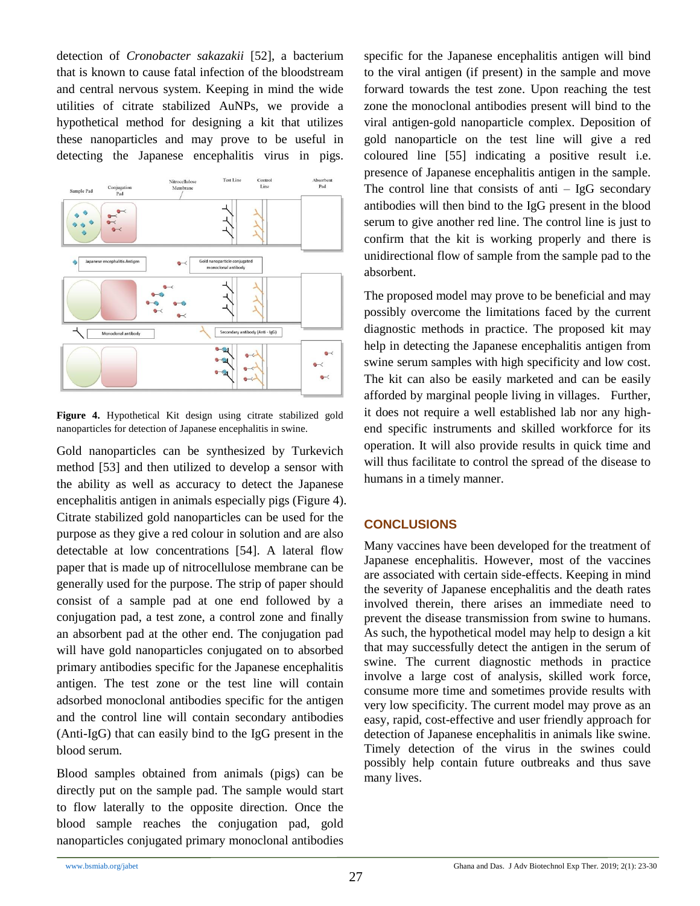detection of *Cronobacter sakazakii* [52], a bacterium that is known to cause fatal infection of the bloodstream and central nervous system. Keeping in mind the wide utilities of citrate stabilized AuNPs, we provide a hypothetical method for designing a kit that utilizes these nanoparticles and may prove to be useful in detecting the Japanese encephalitis virus in pigs.



**Figure 4.** Hypothetical Kit design using citrate stabilized gold nanoparticles for detection of Japanese encephalitis in swine.

Gold nanoparticles can be synthesized by Turkevich method [53] and then utilized to develop a sensor with the ability as well as accuracy to detect the Japanese encephalitis antigen in animals especially pigs (Figure 4). Citrate stabilized gold nanoparticles can be used for the purpose as they give a red colour in solution and are also detectable at low concentrations [54]. A lateral flow paper that is made up of nitrocellulose membrane can be generally used for the purpose. The strip of paper should consist of a sample pad at one end followed by a conjugation pad, a test zone, a control zone and finally an absorbent pad at the other end. The conjugation pad will have gold nanoparticles conjugated on to absorbed primary antibodies specific for the Japanese encephalitis antigen. The test zone or the test line will contain adsorbed monoclonal antibodies specific for the antigen and the control line will contain secondary antibodies (Anti-IgG) that can easily bind to the IgG present in the blood serum.

Blood samples obtained from animals (pigs) can be directly put on the sample pad. The sample would start to flow laterally to the opposite direction. Once the blood sample reaches the conjugation pad, gold nanoparticles conjugated primary monoclonal antibodies specific for the Japanese encephalitis antigen will bind to the viral antigen (if present) in the sample and move forward towards the test zone. Upon reaching the test zone the monoclonal antibodies present will bind to the viral antigen-gold nanoparticle complex. Deposition of gold nanoparticle on the test line will give a red coloured line [55] indicating a positive result i.e. presence of Japanese encephalitis antigen in the sample. The control line that consists of anti  $-$  IgG secondary antibodies will then bind to the IgG present in the blood serum to give another red line. The control line is just to confirm that the kit is working properly and there is unidirectional flow of sample from the sample pad to the absorbent.

The proposed model may prove to be beneficial and may possibly overcome the limitations faced by the current diagnostic methods in practice. The proposed kit may help in detecting the Japanese encephalitis antigen from swine serum samples with high specificity and low cost. The kit can also be easily marketed and can be easily afforded by marginal people living in villages. Further, it does not require a well established lab nor any highend specific instruments and skilled workforce for its operation. It will also provide results in quick time and will thus facilitate to control the spread of the disease to humans in a timely manner.

## **CONCLUSIONS**

Many vaccines have been developed for the treatment of Japanese encephalitis. However, most of the vaccines are associated with certain side-effects. Keeping in mind the severity of Japanese encephalitis and the death rates involved therein, there arises an immediate need to prevent the disease transmission from swine to humans. As such, the hypothetical model may help to design a kit that may successfully detect the antigen in the serum of swine. The current diagnostic methods in practice involve a large cost of analysis, skilled work force, consume more time and sometimes provide results with very low specificity. The current model may prove as an easy, rapid, cost-effective and user friendly approach for detection of Japanese encephalitis in animals like swine. Timely detection of the virus in the swines could possibly help contain future outbreaks and thus save many lives.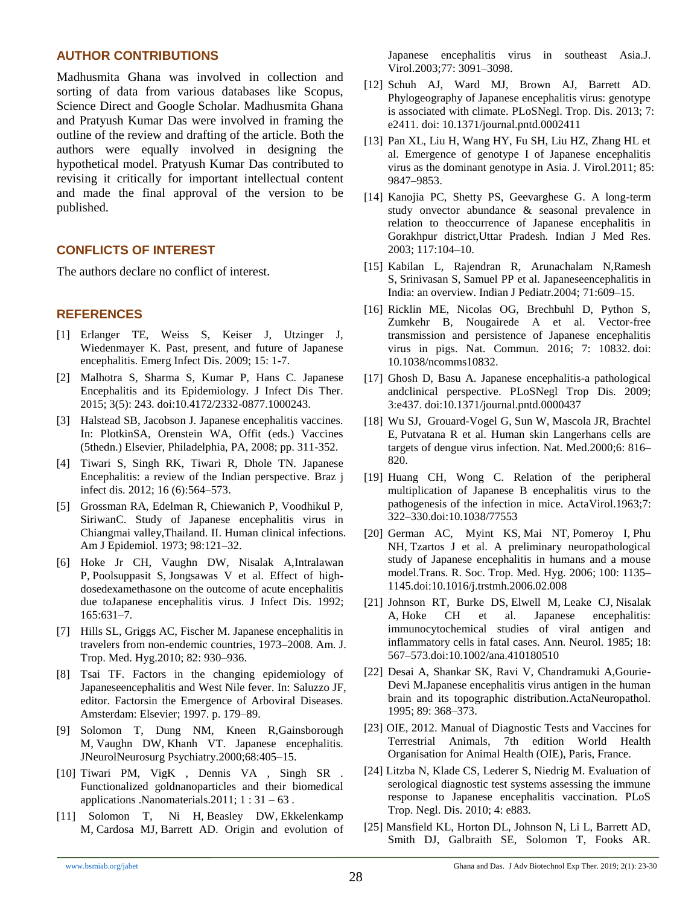#### **AUTHOR CONTRIBUTIONS**

Madhusmita Ghana was involved in collection and sorting of data from various databases like Scopus, Science Direct and Google Scholar. Madhusmita Ghana and Pratyush Kumar Das were involved in framing the outline of the review and drafting of the article. Both the authors were equally involved in designing the hypothetical model. Pratyush Kumar Das contributed to revising it critically for important intellectual content and made the final approval of the version to be published.

#### **CONFLICTS OF INTEREST**

The authors declare no conflict of interest.

#### **REFERENCES**

- [1] Erlanger TE, Weiss S, Keiser J, Utzinger J, Wiedenmayer K. Past, present, and future of Japanese encephalitis. Emerg Infect Dis. 2009; 15: 1-7.
- [2] Malhotra S, Sharma S, Kumar P, Hans C. Japanese Encephalitis and its Epidemiology. J Infect Dis Ther. 2015; 3(5): 243. doi:10.4172/2332-0877.1000243.
- [3] Halstead SB, Jacobson J. Japanese encephalitis vaccines. In: PlotkinSA, Orenstein WA, Offit (eds.) Vaccines (5thedn.) Elsevier, Philadelphia, PA, 2008; pp. 311-352.
- [4] Tiwari S, Singh RK, Tiwari R, Dhole TN. Japanese Encephalitis: a review of the Indian perspective. Braz j infect dis. 2012; 16 (6):564–573.
- [5] Grossman RA, Edelman R, Chiewanich P, Voodhikul P, SiriwanC. Study of Japanese encephalitis virus in Chiangmai valley,Thailand. II. Human clinical infections. Am J Epidemiol. 1973; 98:121–32.
- [6] Hoke Jr CH, Vaughn DW, Nisalak A[,Intralawan](https://www.ncbi.nlm.nih.gov/pubmed/?term=Intralawan%20P%5BAuthor%5D&cauthor=true&cauthor_uid=1313068)  [P,](https://www.ncbi.nlm.nih.gov/pubmed/?term=Intralawan%20P%5BAuthor%5D&cauthor=true&cauthor_uid=1313068) [Poolsuppasit S,](https://www.ncbi.nlm.nih.gov/pubmed/?term=Poolsuppasit%20S%5BAuthor%5D&cauthor=true&cauthor_uid=1313068) [Jongsawas V](https://www.ncbi.nlm.nih.gov/pubmed/?term=Jongsawas%20V%5BAuthor%5D&cauthor=true&cauthor_uid=1313068) et al. Effect of highdosedexamethasone on the outcome of acute encephalitis due toJapanese encephalitis virus. J Infect Dis. 1992; 165:631–7.
- [7] Hills SL, Griggs AC, Fischer M. Japanese encephalitis in travelers from non-endemic countries, 1973–2008. Am. J. Trop. Med. Hyg.2010; 82: 930–936.
- [8] Tsai TF. Factors in the changing epidemiology of Japaneseencephalitis and West Nile fever. In: Saluzzo JF, editor. Factorsin the Emergence of Arboviral Diseases. Amsterdam: Elsevier; 1997. p. 179–89.
- [9] Solomon T, Dung NM, Kneen R[,Gainsborough](https://www.ncbi.nlm.nih.gov/pubmed/?term=Gainsborough%20M%5BAuthor%5D&cauthor=true&cauthor_uid=10727474)  [M,](https://www.ncbi.nlm.nih.gov/pubmed/?term=Gainsborough%20M%5BAuthor%5D&cauthor=true&cauthor_uid=10727474) [Vaughn DW,](https://www.ncbi.nlm.nih.gov/pubmed/?term=Vaughn%20DW%5BAuthor%5D&cauthor=true&cauthor_uid=10727474) [Khanh VT.](https://www.ncbi.nlm.nih.gov/pubmed/?term=Khanh%20VT%5BAuthor%5D&cauthor=true&cauthor_uid=10727474) Japanese encephalitis. JNeurolNeurosurg Psychiatry.2000;68:405–15.
- [10] Tiwari PM, VigK , Dennis VA , Singh SR . Functionalized goldnanoparticles and their biomedical applications .Nanomaterials.2011;  $1:31-63$ .
- [11] Solomon T, [Ni H,](https://www.ncbi.nlm.nih.gov/pubmed/?term=Ni%20H%5BAuthor%5D&cauthor=true&cauthor_uid=12584335) [Beasley DW,](https://www.ncbi.nlm.nih.gov/pubmed/?term=Beasley%20DW%5BAuthor%5D&cauthor=true&cauthor_uid=12584335) [Ekkelenkamp](https://www.ncbi.nlm.nih.gov/pubmed/?term=Ekkelenkamp%20M%5BAuthor%5D&cauthor=true&cauthor_uid=12584335)  [M,](https://www.ncbi.nlm.nih.gov/pubmed/?term=Ekkelenkamp%20M%5BAuthor%5D&cauthor=true&cauthor_uid=12584335) [Cardosa MJ,](https://www.ncbi.nlm.nih.gov/pubmed/?term=Cardosa%20MJ%5BAuthor%5D&cauthor=true&cauthor_uid=12584335) [Barrett AD.](https://www.ncbi.nlm.nih.gov/pubmed/?term=Barrett%20AD%5BAuthor%5D&cauthor=true&cauthor_uid=12584335) Origin and evolution of

Japanese encephalitis virus in southeast Asia.J. Virol.2003;77: 3091–3098.

- [12] Schuh AJ, Ward MJ, Brown AJ, Barrett AD. Phylogeography of Japanese encephalitis virus: genotype is associated with climate. PLoSNegl. Trop. Dis. 2013; 7: e2411. doi: [10.1371/journal.pntd.0002411](https://dx.doi.org/10.1371%2Fjournal.pntd.0002411)
- [13] Pan XL, Liu H, Wang HY, Fu SH, Liu HZ, Zhang HL et al. Emergence of genotype I of Japanese encephalitis virus as the dominant genotype in Asia. J. Virol.2011; 85: 9847–9853.
- [14] Kanojia PC, Shetty PS, Geevarghese G. A long-term study onvector abundance & seasonal prevalence in relation to theoccurrence of Japanese encephalitis in Gorakhpur district,Uttar Pradesh. Indian J Med Res. 2003; 117:104–10.
- [15] Kabilan L, Rajendran R, Arunachalam N[,Ramesh](https://www.ncbi.nlm.nih.gov/pubmed/?term=Ramesh%20S%5BAuthor%5D&cauthor=true&cauthor_uid=15280610)  [S,](https://www.ncbi.nlm.nih.gov/pubmed/?term=Ramesh%20S%5BAuthor%5D&cauthor=true&cauthor_uid=15280610) [Srinivasan S,](https://www.ncbi.nlm.nih.gov/pubmed/?term=Srinivasan%20S%5BAuthor%5D&cauthor=true&cauthor_uid=15280610) [Samuel PP](https://www.ncbi.nlm.nih.gov/pubmed/?term=Samuel%20PP%5BAuthor%5D&cauthor=true&cauthor_uid=15280610) et al. Japaneseencephalitis in India: an overview. Indian J Pediatr.2004; 71:609–15.
- [16] Ricklin ME, Nicolas OG, Brechbuhl D, Python S, Zumkehr B, Nougairede A et al. Vector-free transmission and persistence of Japanese encephalitis virus in pigs. Nat. Commun. 2016; 7: 10832. doi: 10.1038/ncomms10832.
- [17] Ghosh D, Basu A. Japanese encephalitis-a pathological andclinical perspective. PLoSNegl Trop Dis. 2009; 3:e437. doi[:10.1371/journal.pntd.0000437](https://dx.doi.org/10.1371%2Fjournal.pntd.0000437)
- [18] Wu SJ, [Grouard-Vogel G,](https://www.ncbi.nlm.nih.gov/pubmed/?term=Grouard-Vogel%20G%5BAuthor%5D&cauthor=true&cauthor_uid=10888933) [Sun W,](https://www.ncbi.nlm.nih.gov/pubmed/?term=Sun%20W%5BAuthor%5D&cauthor=true&cauthor_uid=10888933) [Mascola JR,](https://www.ncbi.nlm.nih.gov/pubmed/?term=Mascola%20JR%5BAuthor%5D&cauthor=true&cauthor_uid=10888933) [Brachtel](https://www.ncbi.nlm.nih.gov/pubmed/?term=Brachtel%20E%5BAuthor%5D&cauthor=true&cauthor_uid=10888933)  [E,](https://www.ncbi.nlm.nih.gov/pubmed/?term=Brachtel%20E%5BAuthor%5D&cauthor=true&cauthor_uid=10888933) [Putvatana R](https://www.ncbi.nlm.nih.gov/pubmed/?term=Putvatana%20R%5BAuthor%5D&cauthor=true&cauthor_uid=10888933) et al. Human skin Langerhans cells are targets of dengue virus infection. Nat. Med.2000;6: 816– 820.
- [19] Huang CH, Wong C. Relation of the peripheral multiplication of Japanese B encephalitis virus to the pathogenesis of the infection in mice. ActaVirol.1963;7: 322–330.doi[:10.1038/77553](https://doi.org/10.1038/77553)
- [20] German AC, [Myint KS,](https://www.ncbi.nlm.nih.gov/pubmed/?term=Myint%20KS%5BAuthor%5D&cauthor=true&cauthor_uid=16814333) [Mai NT,](https://www.ncbi.nlm.nih.gov/pubmed/?term=Mai%20NT%5BAuthor%5D&cauthor=true&cauthor_uid=16814333) [Pomeroy I,](https://www.ncbi.nlm.nih.gov/pubmed/?term=Pomeroy%20I%5BAuthor%5D&cauthor=true&cauthor_uid=16814333) [Phu](https://www.ncbi.nlm.nih.gov/pubmed/?term=Phu%20NH%5BAuthor%5D&cauthor=true&cauthor_uid=16814333)  [NH,](https://www.ncbi.nlm.nih.gov/pubmed/?term=Phu%20NH%5BAuthor%5D&cauthor=true&cauthor_uid=16814333) [Tzartos J](https://www.ncbi.nlm.nih.gov/pubmed/?term=Tzartos%20J%5BAuthor%5D&cauthor=true&cauthor_uid=16814333) et al. A preliminary neuropathological study of Japanese encephalitis in humans and a mouse model.Trans. R. Soc. Trop. Med. Hyg. 2006; 100: 1135– 1145.doi[:10.1016/j.trstmh.2006.02.008](https://doi.org/10.1016/j.trstmh.2006.02.008)
- [21] Johnson RT, [Burke DS,](https://www.ncbi.nlm.nih.gov/pubmed/?term=Burke%20DS%5BAuthor%5D&cauthor=true&cauthor_uid=3000282) [Elwell M,](https://www.ncbi.nlm.nih.gov/pubmed/?term=Elwell%20M%5BAuthor%5D&cauthor=true&cauthor_uid=3000282) [Leake CJ,](https://www.ncbi.nlm.nih.gov/pubmed/?term=Leake%20CJ%5BAuthor%5D&cauthor=true&cauthor_uid=3000282) [Nisalak](https://www.ncbi.nlm.nih.gov/pubmed/?term=Nisalak%20A%5BAuthor%5D&cauthor=true&cauthor_uid=3000282)  [A,](https://www.ncbi.nlm.nih.gov/pubmed/?term=Nisalak%20A%5BAuthor%5D&cauthor=true&cauthor_uid=3000282) [Hoke CH](https://www.ncbi.nlm.nih.gov/pubmed/?term=Hoke%20CH%5BAuthor%5D&cauthor=true&cauthor_uid=3000282) et al. Japanese encephalitis: immunocytochemical studies of viral antigen and inflammatory cells in fatal cases. Ann. Neurol. 1985; 18: 567–573.doi[:10.1002/ana.410180510](https://doi.org/10.1002/ana.410180510)
- [22] Desai A, Shankar SK, Ravi V, Chandramuki A,Gourie-Devi M.Japanese encephalitis virus antigen in the human brain and its topographic distribution.ActaNeuropathol. 1995; 89: 368–373.
- [23] OIE, 2012. Manual of Diagnostic Tests and Vaccines for Terrestrial Animals, 7th edition World Health Organisation for Animal Health (OIE), Paris, France.
- [24] Litzba N, Klade CS, Lederer S, Niedrig M. Evaluation of serological diagnostic test systems assessing the immune response to Japanese encephalitis vaccination. PLoS Trop. Negl. Dis. 2010; 4: e883.
- [25] Mansfield KL, Horton DL, Johnson N, Li L, Barrett AD, Smith DJ, Galbraith SE, Solomon T, Fooks AR.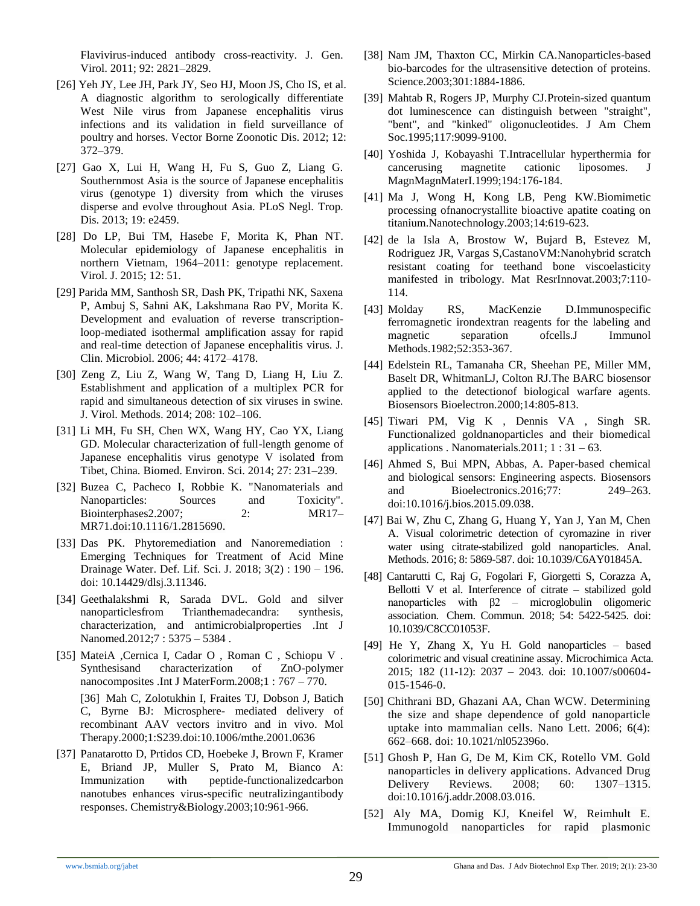Flavivirus-induced antibody cross-reactivity. J. Gen. Virol. 2011; 92: 2821–2829.

- [26] Yeh JY, Lee JH, Park JY, Seo HJ, Moon JS, Cho IS, et al. A diagnostic algorithm to serologically differentiate West Nile virus from Japanese encephalitis virus infections and its validation in field surveillance of poultry and horses. Vector Borne Zoonotic Dis. 2012; 12: 372–379.
- [27] Gao X, Lui H, Wang H, Fu S, Guo Z, Liang G. Southernmost Asia is the source of Japanese encephalitis virus (genotype 1) diversity from which the viruses disperse and evolve throughout Asia. PLoS Negl. Trop. Dis. 2013; 19: e2459.
- [28] Do LP, Bui TM, Hasebe F, Morita K, Phan NT. Molecular epidemiology of Japanese encephalitis in northern Vietnam, 1964–2011: genotype replacement. Virol. J. 2015; 12: 51.
- [29] Parida MM, Santhosh SR, Dash PK, Tripathi NK, Saxena P, Ambuj S, Sahni AK, Lakshmana Rao PV, Morita K. Development and evaluation of reverse transcriptionloop-mediated isothermal amplification assay for rapid and real-time detection of Japanese encephalitis virus. J. Clin. Microbiol. 2006; 44: 4172–4178.
- [30] Zeng Z, Liu Z, Wang W, Tang D, Liang H, Liu Z. Establishment and application of a multiplex PCR for rapid and simultaneous detection of six viruses in swine. J. Virol. Methods. 2014; 208: 102–106.
- [31] Li MH, Fu SH, Chen WX, Wang HY, Cao YX, Liang GD. Molecular characterization of full-length genome of Japanese encephalitis virus genotype V isolated from Tibet, China. Biomed. Environ. Sci. 2014; 27: 231–239.
- [32] Buzea C, Pacheco I, Robbie K. "Nanomaterials and Nanoparticles: Sources and Toxicity". Biointerphases2.2007; 2: MR17– MR71.doi:10.1116/1.2815690.
- [33] Das PK. Phytoremediation and Nanoremediation : Emerging Techniques for Treatment of Acid Mine Drainage Water. Def. Lif. Sci. J. 2018; 3(2) : 190 – 196. doi: 10.14429/dlsj.3.11346.
- [34] Geethalakshmi R, Sarada DVL. Gold and silver nanoparticlesfrom Trianthemadecandra: synthesis, characterization, and antimicrobialproperties .Int J Nanomed.2012;7 : 5375 – 5384 .
- [35] MateiA ,Cernica I, Cadar O , Roman C , Schiopu V . Synthesisand characterization of ZnO-polymer nanocomposites .Int J MaterForm.2008;1 : 767 – 770. [36] Mah C, Zolotukhin I, Fraites TJ, Dobson J, Batich C, Byrne BJ: Microsphere- mediated delivery of recombinant AAV vectors invitro and in vivo. Mol Therapy.2000;1:S239.doi[:10.1006/mthe.2001.0636](https://doi.org/10.1006/mthe.2001.0636)
- [37] Panatarotto D, Prtidos CD, Hoebeke J, Brown F, Kramer E, Briand JP, Muller S, Prato M, Bianco A: Immunization with peptide-functionalizedcarbon nanotubes enhances virus-specific neutralizingantibody responses. Chemistry&Biology.2003;10:961-966.
- [38] Nam JM, Thaxton CC, Mirkin CA.Nanoparticles-based bio-barcodes for the ultrasensitive detection of proteins. Science.2003;301:1884-1886.
- [39] Mahtab R, Rogers JP, Murphy CJ.Protein-sized quantum dot luminescence can distinguish between "straight", "bent", and "kinked" oligonucleotides. J Am Chem Soc.1995;117:9099-9100.
- [40] Yoshida J, Kobayashi T.Intracellular hyperthermia for cancerusing magnetite cationic liposomes. J MagnMagnMaterI.1999;194:176-184.
- [41] Ma J, Wong H, Kong LB, Peng KW.Biomimetic processing ofnanocrystallite bioactive apatite coating on titanium.Nanotechnology.2003;14:619-623.
- [42] de la Isla A, Brostow W, Bujard B, Estevez M, Rodriguez JR, Vargas S,CastanoVM:Nanohybrid scratch resistant coating for teethand bone viscoelasticity manifested in tribology. Mat ResrInnovat.2003;7:110- 114.
- [43] Molday RS, MacKenzie D.Immunospecific ferromagnetic irondextran reagents for the labeling and magnetic separation ofcells.J Immunol Methods.1982;52:353-367.
- [44] Edelstein RL, Tamanaha CR, Sheehan PE, Miller MM, Baselt DR, WhitmanLJ, Colton RJ.The BARC biosensor applied to the detectionof biological warfare agents. Biosensors Bioelectron.2000;14:805-813.
- [45] Tiwari PM, Vig K , Dennis VA , Singh SR. Functionalized goldnanoparticles and their biomedical applications . Nanomaterials.2011; 1 : 31 – 63.
- [46] Ahmed S, Bui MPN, Abbas, A. Paper-based chemical and biological sensors: Engineering aspects. Biosensors and Bioelectronics.2016;77: 249–263. doi:10.1016/j.bios.2015.09.038.
- [47] Bai W, Zhu C, Zhang G, Huang Y, Yan J, Yan M, Chen A. Visual colorimetric detection of cyromazine in river water using citrate-stabilized gold nanoparticles. Anal. Methods. 2016; 8: 5869-587. doi: 10.1039/C6AY01845A.
- [48] Cantarutti C, Raj G, Fogolari F, Giorgetti S, Corazza A, Bellotti V et al. Interference of citrate – stabilized gold nanoparticles with β2 – microglobulin oligomeric association. Chem. Commun. 2018; 54: 5422-5425. doi: 10.1039/C8CC01053F.
- [49] He Y, Zhang X, Yu H. Gold nanoparticles based colorimetric and visual creatinine assay. Microchimica Acta. 2015; 182 (11-12): 2037 – 2043. doi: 10.1007/s00604- 015-1546-0.
- [50] Chithrani BD, Ghazani AA, Chan WCW. Determining the size and shape dependence of gold nanoparticle uptake into mammalian cells. Nano Lett. 2006; 6(4): 662–668. doi: 10.1021/nl052396o.
- [51] Ghosh P, Han G, De M, Kim CK, Rotello VM. Gold nanoparticles in delivery applications. Advanced Drug Delivery Reviews. 2008; 60: 1307–1315. doi:10.1016/j.addr.2008.03.016.
- [52] Aly MA, Domig KJ, Kneifel W, Reimhult E. Immunogold nanoparticles for rapid plasmonic